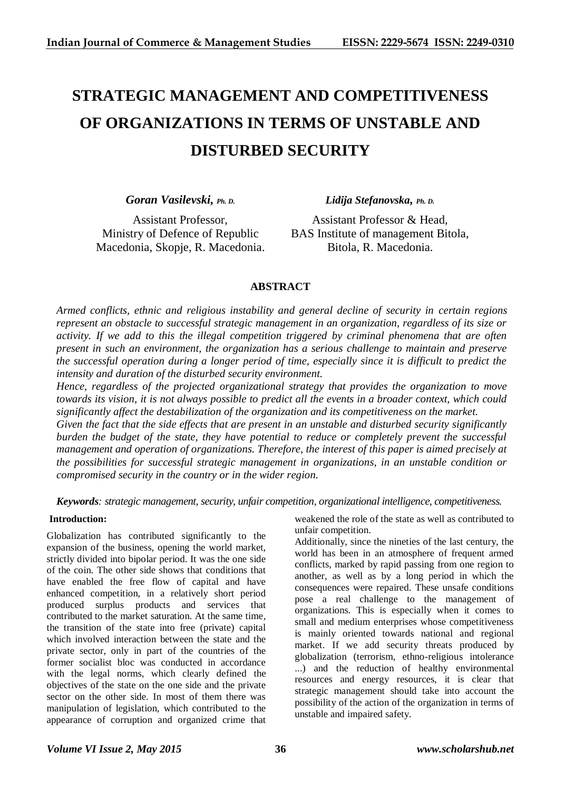# **STRATEGIC MANAGEMENT AND COMPETITIVENESS OF ORGANIZATIONS IN TERMS OF UNSTABLE AND DISTURBED SECURITY**

*Goran Vasilevski, Ph. D.*

Assistant Professor, Ministry of Defence of Republic Macedonia, Skopje, R. Macedonia. *Lidija Stefanovska, Ph. D.*

Assistant Professor & Head, BAS Institute of management Bitola, Bitola, R. Macedonia.

# **ABSTRACT**

*Armed conflicts, ethnic and religious instability and general decline of security in certain regions represent an obstacle to successful strategic management in an organization, regardless of its size or activity. If we add to this the illegal competition triggered by criminal phenomena that are often present in such an environment, the organization has a serious challenge to maintain and preserve the successful operation during a longer period of time, especially since it is difficult to predict the intensity and duration of the disturbed security environment.*

*Hence, regardless of the projected organizational strategy that provides the organization to move towards its vision, it is not always possible to predict all the events in a broader context, which could significantly affect the destabilization of the organization and its competitiveness on the market.*

*Given the fact that the side effects that are present in an unstable and disturbed security significantly burden the budget of the state, they have potential to reduce or completely prevent the successful management and operation of organizations. Therefore, the interest of this paper is aimed precisely at the possibilities for successful strategic management in organizations, in an unstable condition or compromised security in the country or in the wider region.*

*Keywords: strategic management, security, unfair competition, organizational intelligence, competitiveness.*

## **Introduction:**

Globalization has contributed significantly to the expansion of the business, opening the world market, strictly divided into bipolar period. It was the one side of the coin. The other side shows that conditions that have enabled the free flow of capital and have enhanced competition, in a relatively short period produced surplus products and services that contributed to the market saturation. At the same time, the transition of the state into free (private) capital which involved interaction between the state and the private sector, only in part of the countries of the former socialist bloc was conducted in accordance with the legal norms, which clearly defined the objectives of the state on the one side and the private sector on the other side. In most of them there was manipulation of legislation, which contributed to the appearance of corruption and organized crime that

weakened the role of the state as well as contributed to unfair competition.

Additionally, since the nineties of the last century, the world has been in an atmosphere of frequent armed conflicts, marked by rapid passing from one region to another, as well as by a long period in which the consequences were repaired. These unsafe conditions pose a real challenge to the management of organizations. This is especially when it comes to small and medium enterprises whose competitiveness is mainly oriented towards national and regional market. If we add security threats produced by globalization (terrorism, ethno-religious intolerance ...) and the reduction of healthy environmental resources and energy resources, it is clear that strategic management should take into account the possibility of the action of the organization in terms of unstable and impaired safety.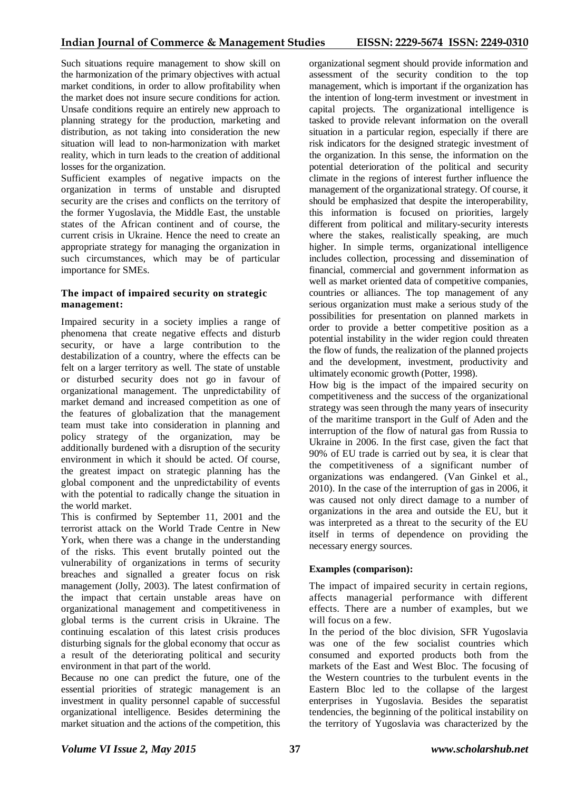Such situations require management to show skill on the harmonization of the primary objectives with actual market conditions, in order to allow profitability when the market does not insure secure conditions for action. Unsafe conditions require an entirely new approach to planning strategy for the production, marketing and distribution, as not taking into consideration the new situation will lead to non-harmonization with market reality, which in turn leads to the creation of additional losses for the organization.

Sufficient examples of negative impacts on the organization in terms of unstable and disrupted security are the crises and conflicts on the territory of the former Yugoslavia, the Middle East, the unstable states of the African continent and of course, the current crisis in Ukraine. Hence the need to create an appropriate strategy for managing the organization in such circumstances, which may be of particular importance for SMEs.

## **The impact of impaired security on strategic management:**

Impaired security in a society implies a range of phenomena that create negative effects and disturb security, or have a large contribution to the destabilization of a country, where the effects can be felt on a larger territory as well. The state of unstable or disturbed security does not go in favour of organizational management. The unpredictability of market demand and increased competition as one of the features of globalization that the management team must take into consideration in planning and policy strategy of the organization, may be additionally burdened with a disruption of the security environment in which it should be acted. Of course, the greatest impact on strategic planning has the global component and the unpredictability of events with the potential to radically change the situation in the world market.

This is confirmed by September 11, 2001 and the terrorist attack on the World Trade Centre in New York, when there was a change in the understanding of the risks. This event brutally pointed out the vulnerability of organizations in terms of security breaches and signalled a greater focus on risk management (Jolly, 2003). The latest confirmation of the impact that certain unstable areas have on organizational management and competitiveness in global terms is the current crisis in Ukraine. The continuing escalation of this latest crisis produces disturbing signals for the global economy that occur as a result of the deteriorating political and security environment in that part of the world.

Because no one can predict the future, one of the essential priorities of strategic management is an investment in quality personnel capable of successful organizational intelligence. Besides determining the market situation and the actions of the competition, this organizational segment should provide information and assessment of the security condition to the top management, which is important if the organization has the intention of long-term investment or investment in capital projects. The organizational intelligence is tasked to provide relevant information on the overall situation in a particular region, especially if there are risk indicators for the designed strategic investment of the organization. In this sense, the information on the potential deterioration of the political and security climate in the regions of interest further influence the management of the organizational strategy. Of course, it should be emphasized that despite the interoperability, this information is focused on priorities, largely different from political and military-security interests where the stakes, realistically speaking, are much higher. In simple terms, organizational intelligence includes collection, processing and dissemination of financial, commercial and government information as well as market oriented data of competitive companies, countries or alliances. The top management of any serious organization must make a serious study of the possibilities for presentation on planned markets in order to provide a better competitive position as a potential instability in the wider region could threaten the flow of funds, the realization of the planned projects and the development, investment, productivity and ultimately economic growth (Potter, 1998).

How big is the impact of the impaired security on competitiveness and the success of the organizational strategy was seen through the many years of insecurity of the maritime transport in the Gulf of Aden and the interruption of the flow of natural gas from Russia to Ukraine in 2006. In the first case, given the fact that 90% of EU trade is carried out by sea, it is clear that the competitiveness of a significant number of organizations was endangered. (Van Ginkel et al., 2010). In the case of the interruption of gas in 2006, it was caused not only direct damage to a number of organizations in the area and outside the EU, but it was interpreted as a threat to the security of the EU itself in terms of dependence on providing the necessary energy sources.

## **Examples (comparison):**

The impact of impaired security in certain regions, affects managerial performance with different effects. There are a number of examples, but we will focus on a few.

In the period of the bloc division, SFR Yugoslavia was one of the few socialist countries which consumed and exported products both from the markets of the East and West Bloc. The focusing of the Western countries to the turbulent events in the Eastern Bloc led to the collapse of the largest enterprises in Yugoslavia. Besides the separatist tendencies, the beginning of the political instability on the territory of Yugoslavia was characterized by the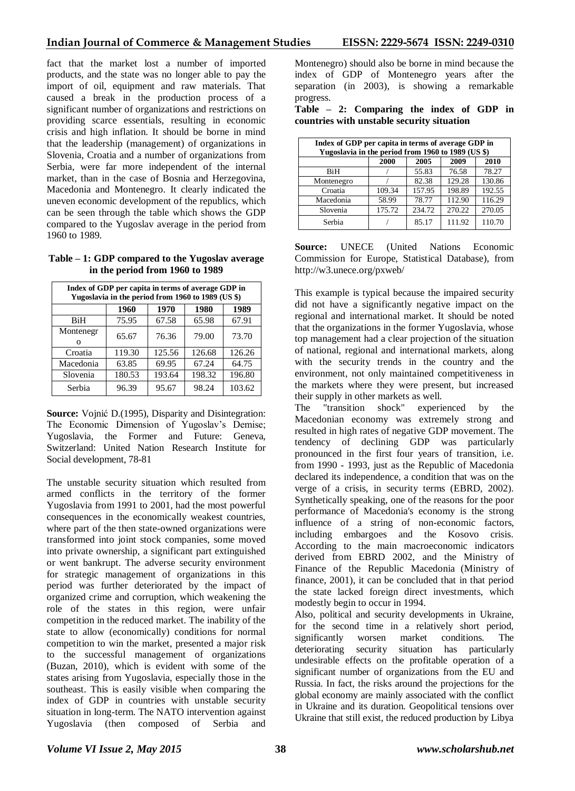fact that the market lost a number of imported products, and the state was no longer able to pay the import of oil, equipment and raw materials. That caused a break in the production process of a significant number of organizations and restrictions on providing scarce essentials, resulting in economic crisis and high inflation. It should be borne in mind that the leadership (management) of organizations in Slovenia, Croatia and a number of organizations from Serbia, were far more independent of the internal market, than in the case of Bosnia and Herzegovina, Macedonia and Montenegro. It clearly indicated the uneven economic development of the republics, which can be seen through the table which shows the GDP compared to the Yugoslav average in the period from 1960 to 1989.

**Table – 1: GDP compared to the Yugoslav average in the period from 1960 to 1989**

| Index of GDP per capita in terms of average GDP in<br>Yugoslavia in the period from 1960 to 1989 (US \$) |        |        |        |        |  |  |  |
|----------------------------------------------------------------------------------------------------------|--------|--------|--------|--------|--|--|--|
|                                                                                                          | 1960   | 1970   | 1980   | 1989   |  |  |  |
| BiH                                                                                                      | 75.95  | 67.58  | 65.98  | 67.91  |  |  |  |
| Montenegr<br>O                                                                                           | 65.67  | 76.36  | 79.00  | 73.70  |  |  |  |
| Croatia                                                                                                  | 119.30 | 125.56 | 126.68 | 126.26 |  |  |  |
| Macedonia                                                                                                | 63.85  | 69.95  | 67.24  | 64.75  |  |  |  |
| Slovenia                                                                                                 | 180.53 | 193.64 | 198.32 | 196.80 |  |  |  |
| Serbia                                                                                                   | 96.39  | 95.67  | 98.24  | 103.62 |  |  |  |

**Source:** Vojnić D.(1995), Disparity and Disintegration: The Economic Dimension of Yugoslav's Demise; Yugoslavia, the Former and Future: Geneva, Switzerland: United Nation Research Institute for Social development, 78-81

The unstable security situation which resulted from armed conflicts in the territory of the former Yugoslavia from 1991 to 2001, had the most powerful consequences in the economically weakest countries, where part of the then state-owned organizations were transformed into joint stock companies, some moved into private ownership, a significant part extinguished or went bankrupt. The adverse security environment for strategic management of organizations in this period was further deteriorated by the impact of organized crime and corruption, which weakening the role of the states in this region, were unfair competition in the reduced market. The inability of the state to allow (economically) conditions for normal competition to win the market, presented a major risk to the successful management of organizations (Buzan, 2010), which is evident with some of the states arising from Yugoslavia, especially those in the southeast. This is easily visible when comparing the index of GDP in countries with unstable security situation in long-term. The NATO intervention against Yugoslavia (then composed of Serbia and

Montenegro) should also be borne in mind because the index of GDP of Montenegro years after the separation (in 2003), is showing a remarkable progress.

**Table – 2: Comparing the index of GDP in countries with unstable security situation**

| Index of GDP per capita in terms of average GDP in<br>Yugoslavia in the period from 1960 to 1989 (US \$) |        |        |        |        |  |  |  |  |
|----------------------------------------------------------------------------------------------------------|--------|--------|--------|--------|--|--|--|--|
|                                                                                                          | 2000   | 2005   | 2009   | 2010   |  |  |  |  |
| BiH                                                                                                      |        | 55.83  | 76.58  | 78.27  |  |  |  |  |
| Montenegro                                                                                               |        | 82.38  | 129.28 | 130.86 |  |  |  |  |
| Croatia                                                                                                  | 109.34 | 157.95 | 198.89 | 192.55 |  |  |  |  |
| Macedonia                                                                                                | 58.99  | 78.77  | 112.90 | 116.29 |  |  |  |  |
| Slovenia                                                                                                 | 175.72 | 234.72 | 270.22 | 270.05 |  |  |  |  |
| Serbia                                                                                                   |        | 85.17  | 111.92 | 110.70 |  |  |  |  |

**Source:** UNECE (United Nations Economic Commission for Europe, Statistical Database), from http://w3.unece.org/pxweb/

This example is typical because the impaired security did not have a significantly negative impact on the regional and international market. It should be noted that the organizations in the former Yugoslavia, whose top management had a clear projection of the situation of national, regional and international markets, along with the security trends in the country and the environment, not only maintained competitiveness in the markets where they were present, but increased their supply in other markets as well.

The "transition shock" experienced by the Macedonian economy was extremely strong and resulted in high rates of negative GDP movement. The tendency of declining GDP was particularly pronounced in the first four years of transition, i.e. from 1990 - 1993, just as the Republic of Macedonia declared its independence, a condition that was on the verge of a crisis, in security terms (EBRD, 2002). Synthetically speaking, one of the reasons for the poor performance of Macedonia's economy is the strong influence of a string of non-economic factors, including embargoes and the Kosovo crisis. According to the main macroeconomic indicators derived from EBRD 2002, and the Ministry of Finance of the Republic Macedonia (Ministry of finance, 2001), it can be concluded that in that period the state lacked foreign direct investments, which modestly begin to occur in 1994.

Also, political and security developments in Ukraine, for the second time in a relatively short period, significantly worsen market conditions. The deteriorating security situation has particularly undesirable effects on the profitable operation of a significant number of organizations from the EU and Russia. In fact, the risks around the projections for the global economy are mainly associated with the conflict in Ukraine and its duration. Geopolitical tensions over Ukraine that still exist, the reduced production by Libya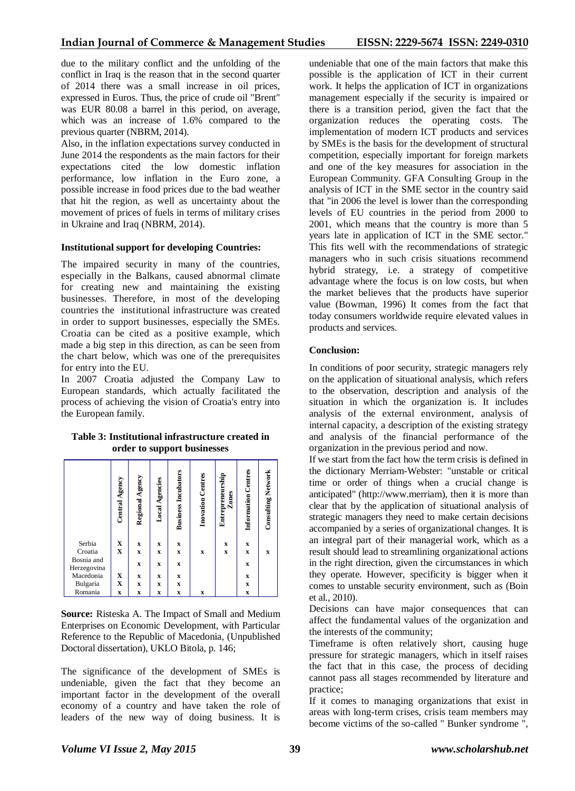due to the military conflict and the unfolding of the conflict in Iraq is the reason that in the second quarter of 2014 there was a small increase in oil prices, expressed in Euros. Thus, the price of crude oil "Brent" was EUR 80.08 a barrel in this period, on average, which was an increase of 1.6% compared to the previous quarter (NBRM, 2014).

Also, in the inflation expectations survey conducted in June 2014 the respondents as the main factors for their expectations cited the low domestic inflation performance, low inflation in the Euro zone, a possible increase in food prices due to the bad weather that hit the region, as well as uncertainty about the movement of prices of fuels in terms of military crises in Ukraine and Iraq (NBRM, 2014).

#### **Institutional support for developing Countries:**

The impaired security in many of the countries, especially in the Balkans, caused abnormal climate for creating new and maintaining the existing businesses. Therefore, in most of the developing countries the institutional infrastructure was created in order to support businesses, especially the SMEs. Croatia can be cited as a positive example, which made a big step in this direction, as can be seen from the chart below, which was one of the prerequisites for entry into the EU.

In 2007 Croatia adjusted the Company Law to European standards, which actually facilitated the process of achieving the vision of Croatia's entry into the European family.

#### **Table 3: Institutional infrastructure created in order to support businesses**

|                           | Central Agency          | Regional Agency           | <b>Local Agencies</b> | <b>Business Incubators</b> | <b>Inovation Centres</b> | Entrepreneurship<br>Zones | Information Centres       | <b>Consulting Network</b> |
|---------------------------|-------------------------|---------------------------|-----------------------|----------------------------|--------------------------|---------------------------|---------------------------|---------------------------|
| Serbia                    | $\mathbf{x}$            | x                         | x                     | X                          |                          | x                         | x                         |                           |
| Croatia                   |                         | $\boldsymbol{\mathrm{X}}$ | $\mathbf x$           | $\boldsymbol{\mathrm{X}}$  | X                        | $\boldsymbol{\mathrm{X}}$ | $\boldsymbol{\mathrm{X}}$ | $\mathbf x$               |
| Bosnia and<br>Herzegovina |                         | x                         | x                     | x                          |                          |                           | $\boldsymbol{\mathrm{x}}$ |                           |
| Macedonia                 | x                       | $\boldsymbol{\mathrm{X}}$ | x                     | x                          |                          |                           | $\boldsymbol{\mathrm{x}}$ |                           |
| Bulgaria                  | $\overline{\mathbf{X}}$ | $\boldsymbol{\mathrm{X}}$ | $\bf x$               | $\boldsymbol{\mathrm{X}}$  |                          |                           | $\boldsymbol{\mathrm{X}}$ |                           |
| Romania                   | X                       | $\boldsymbol{\mathrm{X}}$ | X                     | X                          | X                        |                           | $\mathbf x$               |                           |

**Source:** Risteska A. The Impact of Small and Medium Enterprises on Economic Development, with Particular Reference to the Republic of Macedonia, (Unpublished Doctoral dissertation), UKLO Bitola, p. 146;

The significance of the development of SMEs is undeniable, given the fact that they become an important factor in the development of the overall economy of a country and have taken the role of leaders of the new way of doing business. It is undeniable that one of the main factors that make this possible is the application of ICT in their current work. It helps the application of ICT in organizations management especially if the security is impaired or there is a transition period, given the fact that the organization reduces the operating costs. The implementation of modern ICT products and services by SMEs is the basis for the development of structural competition, especially important for foreign markets and one of the key measures for association in the European Community. GFA Consulting Group in the analysis of ICT in the SME sector in the country said that "in 2006 the level is lower than the corresponding levels of EU countries in the period from 2000 to 2001, which means that the country is more than 5 years late in application of ICT in the SME sector." This fits well with the recommendations of strategic managers who in such crisis situations recommend hybrid strategy, i.e. a strategy of competitive advantage where the focus is on low costs, but when the market believes that the products have superior value (Bowman, 1996) It comes from the fact that today consumers worldwide require elevated values in products and services.

### **Conclusion:**

In conditions of poor security, strategic managers rely on the application of situational analysis, which refers to the observation, description and analysis of the situation in which the organization is. It includes analysis of the external environment, analysis of internal capacity, a description of the existing strategy and analysis of the financial performance of the organization in the previous period and now.

If we start from the fact how the term crisis is defined in the dictionary Merriam-Webster: "unstable or critical time or order of things when a crucial change is anticipated" (http://www.merriam), then it is more than clear that by the application of situational analysis of strategic managers they need to make certain decisions accompanied by a series of organizational changes. It is an integral part of their managerial work, which as a result should lead to streamlining organizational actions in the right direction, given the circumstances in which they operate. However, specificity is bigger when it comes to unstable security environment, such as (Boin et al., 2010).

Decisions can have major consequences that can affect the fundamental values of the organization and the interests of the community;

Timeframe is often relatively short, causing huge pressure for strategic managers, which in itself raises the fact that in this case, the process of deciding cannot pass all stages recommended by literature and practice;

If it comes to managing organizations that exist in areas with long-term crises, crisis team members may become victims of the so-called " Bunker syndrome ",